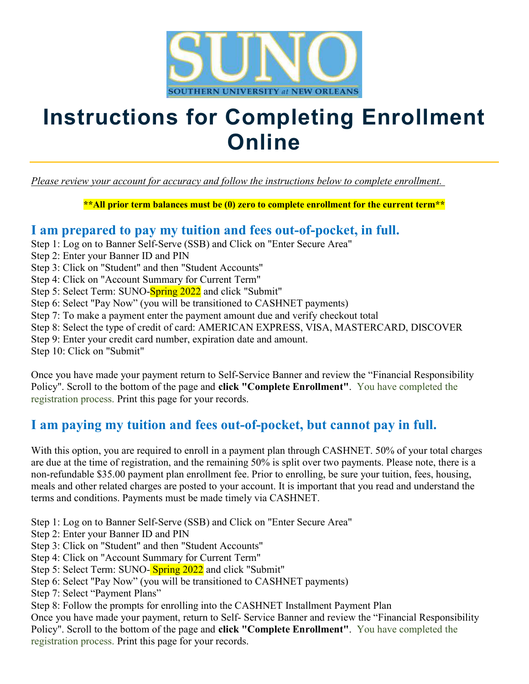

## Instructions for Completing Enrollment **Online**

Please review your account for accuracy and follow the instructions below to complete enrollment.

\*\*All prior term balances must be (0) zero to complete enrollment for the current term\*\*

#### I am prepared to pay my tuition and fees out-of-pocket, in full.

- Step 1: Log on to Banner Self-Serve (SSB) and Click on "Enter Secure Area"
- Step 2: Enter your Banner ID and PIN
- Step 3: Click on "Student" and then "Student Accounts"
- Step 4: Click on "Account Summary for Current Term"
- Step 5: Select Term: SUNO-Spring 2022 and click "Submit"
- Step 6: Select "Pay Now" (you will be transitioned to CASHNET payments)
- Step 7: To make a payment enter the payment amount due and verify checkout total
- Step 8: Select the type of credit of card: AMERICAN EXPRESS, VISA, MASTERCARD, DISCOVER
- Step 9: Enter your credit card number, expiration date and amount.

Step 10: Click on "Submit"

Once you have made your payment return to Self-Service Banner and review the "Financial Responsibility Policy". Scroll to the bottom of the page and click "Complete Enrollment". You have completed the registration process. Print this page for your records.

### I am paying my tuition and fees out-of-pocket, but cannot pay in full.

With this option, you are required to enroll in a payment plan through CASHNET. 50% of your total charges are due at the time of registration, and the remaining 50% is split over two payments. Please note, there is a non-refundable \$35.00 payment plan enrollment fee. Prior to enrolling, be sure your tuition, fees, housing, meals and other related charges are posted to your account. It is important that you read and understand the terms and conditions. Payments must be made timely via CASHNET.

Step 1: Log on to Banner Self-Serve (SSB) and Click on "Enter Secure Area"

- Step 2: Enter your Banner ID and PIN
- Step 3: Click on "Student" and then "Student Accounts"
- Step 4: Click on "Account Summary for Current Term"
- Step 5: Select Term: SUNO-Spring 2022 and click "Submit"
- Step 6: Select "Pay Now" (you will be transitioned to CASHNET payments)
- Step 7: Select "Payment Plans"

Step 8: Follow the prompts for enrolling into the CASHNET Installment Payment Plan

Once you have made your payment, return to Self- Service Banner and review the "Financial Responsibility Policy". Scroll to the bottom of the page and click "Complete Enrollment". You have completed the registration process. Print this page for your records.